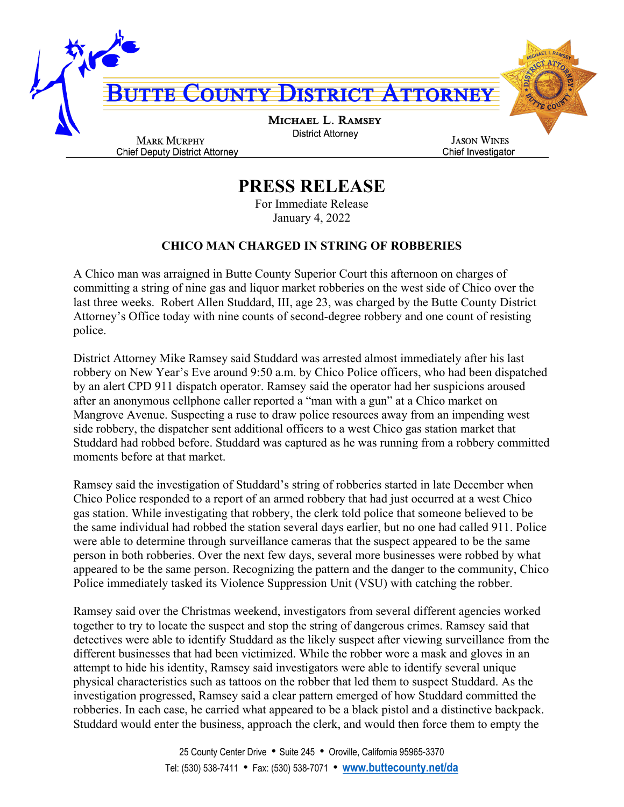

## **PRESS RELEASE**

For Immediate Release January 4, 2022

## **CHICO MAN CHARGED IN STRING OF ROBBERIES**

A Chico man was arraigned in Butte County Superior Court this afternoon on charges of committing a string of nine gas and liquor market robberies on the west side of Chico over the last three weeks. Robert Allen Studdard, III, age 23, was charged by the Butte County District Attorney's Office today with nine counts of second-degree robbery and one count of resisting police.

District Attorney Mike Ramsey said Studdard was arrested almost immediately after his last robbery on New Year's Eve around 9:50 a.m. by Chico Police officers, who had been dispatched by an alert CPD 911 dispatch operator. Ramsey said the operator had her suspicions aroused after an anonymous cellphone caller reported a "man with a gun" at a Chico market on Mangrove Avenue. Suspecting a ruse to draw police resources away from an impending west side robbery, the dispatcher sent additional officers to a west Chico gas station market that Studdard had robbed before. Studdard was captured as he was running from a robbery committed moments before at that market.

Ramsey said the investigation of Studdard's string of robberies started in late December when Chico Police responded to a report of an armed robbery that had just occurred at a west Chico gas station. While investigating that robbery, the clerk told police that someone believed to be the same individual had robbed the station several days earlier, but no one had called 911. Police were able to determine through surveillance cameras that the suspect appeared to be the same person in both robberies. Over the next few days, several more businesses were robbed by what appeared to be the same person. Recognizing the pattern and the danger to the community, Chico Police immediately tasked its Violence Suppression Unit (VSU) with catching the robber.

Ramsey said over the Christmas weekend, investigators from several different agencies worked together to try to locate the suspect and stop the string of dangerous crimes. Ramsey said that detectives were able to identify Studdard as the likely suspect after viewing surveillance from the different businesses that had been victimized. While the robber wore a mask and gloves in an attempt to hide his identity, Ramsey said investigators were able to identify several unique physical characteristics such as tattoos on the robber that led them to suspect Studdard. As the investigation progressed, Ramsey said a clear pattern emerged of how Studdard committed the robberies. In each case, he carried what appeared to be a black pistol and a distinctive backpack. Studdard would enter the business, approach the clerk, and would then force them to empty the